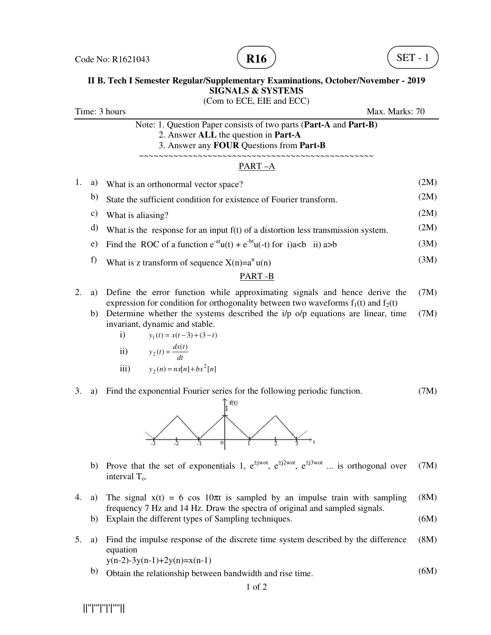



### **II B. Tech I Semester Regular/Supplementary Examinations, October/November - 2019 SIGNALS & SYSTEMS**

(Com to ECE, EIE and ECC) Time: 3 hours Max. Marks: 70 Note: 1. Question Paper consists of two parts (**Part-A** and **Part-B)** 2. Answer **ALL** the question in **Part-A** 3. Answer any **FOUR** Questions from **Part-B** ~~~~~~~~~~~~~~~~~~~~~~~~~~~~~~~~~~~~~~~~~~~~~~~~ PART –A 1. a) What is an orthonormal vector space? (2M) b) State the sufficient condition for existence of Fourier transform. (2M) c) What is aliasing?  $(2M)$ d) What is the response for an input  $f(t)$  of a distortion less transmission system. (2M) e) Find the ROC of a function  $e^{-at}u(t) + e^{-bt}u(-t)$  for i)a $>b$  (3M) f) What is z transform of sequence  $X(n)=a^n u(n)$  (3M) PART -B

- 2. a) Define the error function while approximating signals and hence derive the expression for condition for orthogonality between two waveforms  $f_1(t)$  and  $f_2(t)$ (7M)
	- b) Determine whether the systems described the  $i/p$  o/p equations are linear, time invariant, dynamic and stable. (7M)
		- i)  $y_1(t) = x(t-3) + (3-t)$
		- ii) *dt*  $y_2(t) = \frac{dx(t)}{t}$
		- iii)  $y_2(n) = nx[n] + bx^2[n]$

#### 3. a) Find the exponential Fourier series for the following periodic function. (7M)



- b) Prove that the set of exponentials 1,  $e^{\pm jwot}$ ,  $e^{\pm j2wot}$ ,  $e^{\pm j3wot}$  ... is orthogonal over interval  $T_0$ . (7M)
- 4. a) The signal  $x(t) = 6 \cos 10\pi t$  is sampled by an impulse train with sampling frequency 7 Hz and 14 Hz. Draw the spectra of original and sampled signals. (8M)
	- b) Explain the different types of Sampling techniques. (6M)
- 5. a) Find the impulse response of the discrete time system described by the difference equation (8M)

 $y(n-2)-3y(n-1)+2y(n)=x(n-1)$ 

b) Obtain the relationship between bandwidth and rise time. (6M)

||''|'''|''|'|''''||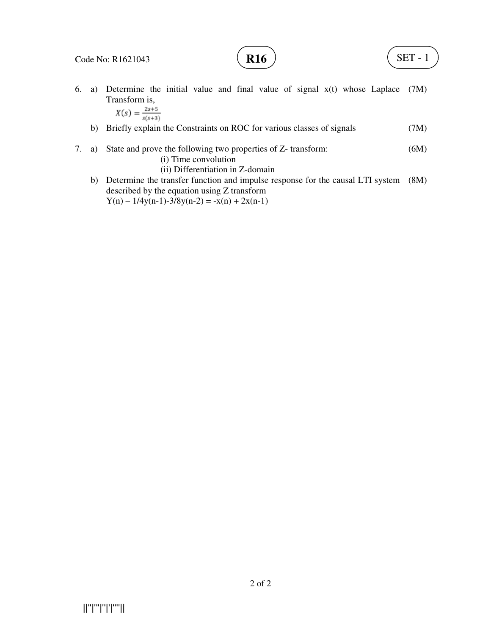

6. a) Determine the initial value and final value of signal x(t) whose Laplace (7M) Transform is,<br> $X(s) = \frac{2s+5}{s}$ 

$$
Y(s) = \frac{2s+3}{s(s+3)}
$$

- b) Briefly explain the Constraints on ROC for various classes of signals (7M)
- 7. a) State and prove the following two properties of Z- transform: (i) Time convolution (ii) Differentiation in Z-domain (6M)
- b) Determine the transfer function and impulse response for the causal LTI system (8M) described by the equation using Z transform  $Y(n) - 1/4y(n-1) - 3/8y(n-2) = -x(n) + 2x(n-1)$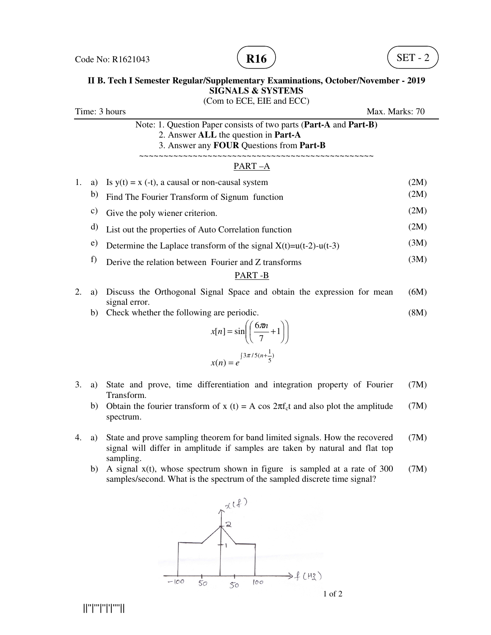

#### **II B. Tech I Semester Regular/Supplementary Examinations, October/November - 2019 SIGNALS & SYSTEMS**   $CCT$   $CIT$

|                                 |                 | (Com to ECE, EIE and ECC)                                                                                                                             |              |  |
|---------------------------------|-----------------|-------------------------------------------------------------------------------------------------------------------------------------------------------|--------------|--|
| Time: 3 hours<br>Max. Marks: 70 |                 |                                                                                                                                                       |              |  |
|                                 |                 | Note: 1. Question Paper consists of two parts (Part-A and Part-B)<br>2. Answer ALL the question in Part-A<br>3. Answer any FOUR Questions from Part-B |              |  |
|                                 |                 | $PART-A$                                                                                                                                              |              |  |
| 1.                              | a)<br>b)        | Is $y(t) = x$ (-t), a causal or non-causal system<br>Find The Fourier Transform of Signum function                                                    | (2M)<br>(2M) |  |
|                                 | $\mathcal{C}$ ) | Give the poly wiener criterion.                                                                                                                       | (2M)         |  |
|                                 | d)              | List out the properties of Auto Correlation function                                                                                                  | (2M)         |  |
|                                 | e)              | Determine the Laplace transform of the signal $X(t)=u(t-2)-u(t-3)$                                                                                    | (3M)         |  |
|                                 | f)              | Derive the relation between Fourier and Z transforms<br>PART-B                                                                                        | (3M)         |  |
| 2.                              | a)              | Discuss the Orthogonal Signal Space and obtain the expression for mean<br>signal error.                                                               | (6M)         |  |
|                                 | b)              | Check whether the following are periodic.<br>$x[n] = \sin\left(\left(\frac{6\pi n}{7} + 1\right)\right)$<br>$x(n) = e^{\int 3\pi/5(n+\frac{1}{5})}$   | (8M)         |  |
| 3.                              | a)              | State and prove, time differentiation and integration property of Fourier<br>Transform.                                                               | (7M)         |  |

- b) Obtain the fourier transform of x (t) = A cos  $2\pi f_c t$  and also plot the amplitude spectrum. (7M)
- 4. a) State and prove sampling theorem for band limited signals. How the recovered signal will differ in amplitude if samples are taken by natural and flat top sampling. (7M)
	- b) A signal x(t), whose spectrum shown in figure is sampled at a rate of 300 samples/second. What is the spectrum of the sampled discrete time signal? (7M)



||''|'''|''|'|''''||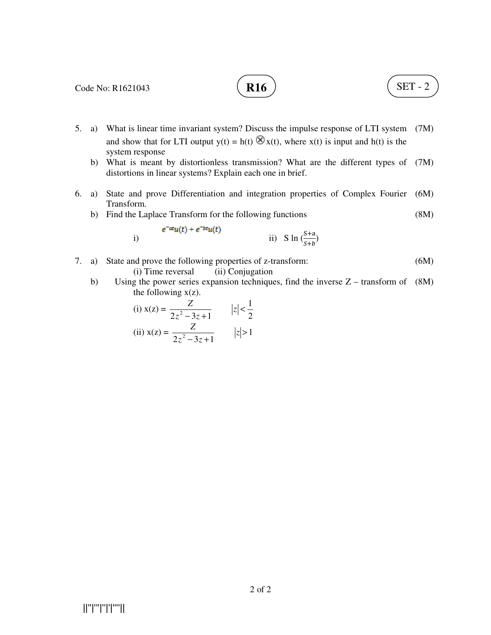# **R16**  $\big)$  (SET - 2)

- 5. a) What is linear time invariant system? Discuss the impulse response of LTI system (7M) and show that for LTI output  $y(t) = h(t) \otimes x(t)$ , where  $x(t)$  is input and  $h(t)$  is the system response
- b) What is meant by distortionless transmission? What are the different types of (7M) distortions in linear systems? Explain each one in brief.
- 6. a) State and prove Differentiation and integration properties of Complex Fourier (6M) Transform.
	- b) Find the Laplace Transform for the following functions (8M)

i) 
$$
e^{-at}u(t) + e^{-bt}u(t)
$$
 ii) 
$$
\text{S} \ln \left( \frac{S+a}{S+b} \right)
$$

- 7. a) State and prove the following properties of z-transform: (i) Time reversal (ii) Conjugation (6M)
	- b) Using the power series expansion techniques, find the inverse Z transform of (8M) the following  $x(z)$ .

(i) 
$$
x(z) = \frac{Z}{2z^2 - 3z + 1}
$$
  $|z| < \frac{1}{2}$   
\n(ii)  $x(z) = \frac{Z}{2z^2 - 3z + 1}$   $|z| > 1$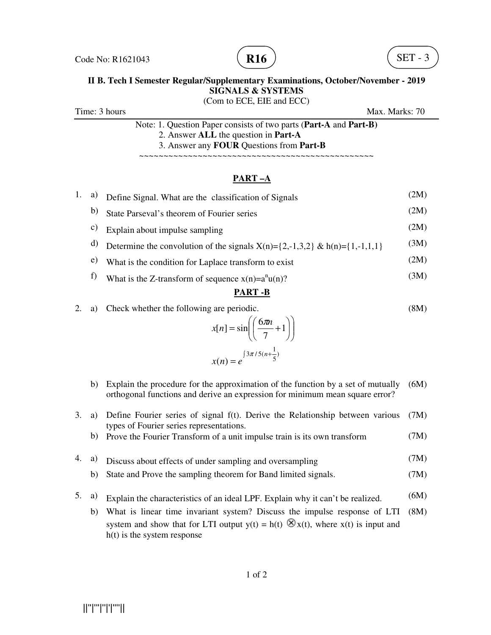

#### **II B. Tech I Semester Regular/Supplementary Examinations, October/November - 2019 SIGNALS & SYSTEMS**  (Com to ECE, EIE and ECC)

Time: 3 hours Max. Marks: 70

Note: 1. Question Paper consists of two parts (**Part-A** and **Part-B)** 2. Answer **ALL** the question in **Part-A** 3. Answer any **FOUR** Questions from **Part-B**

~~~~~~~~~~~~~~~~~~~~~~~~~~~~~~~~~~~~~~~~~~~~~~~~

## **PART –A**

| 1. | a) | Define Signal. What are the classification of Signals                                                                                                            | (2M) |
|----|----|------------------------------------------------------------------------------------------------------------------------------------------------------------------|------|
|    | b) | State Parseval's theorem of Fourier series                                                                                                                       | (2M) |
|    | c) | Explain about impulse sampling                                                                                                                                   | (2M) |
|    | d) | Determine the convolution of the signals $X(n)=\{2,-1,3,2\}$ & $h(n)=\{1,-1,1,1\}$                                                                               | (3M) |
|    | e) | What is the condition for Laplace transform to exist                                                                                                             | (2M) |
|    | f) | What is the Z-transform of sequence $x(n)=a^{n}u(n)$ ?                                                                                                           | (3M) |
|    |    | <b>PART-B</b>                                                                                                                                                    |      |
| 2. | a) | Check whether the following are periodic.                                                                                                                        | (8M) |
|    |    | $x[n] = \sin\left(\left(\frac{6\pi n}{7} + 1\right)\right)$                                                                                                      |      |
|    |    | $x(n) = e^{\int 3\pi/5(n+\frac{1}{5})}$                                                                                                                          |      |
|    | b) | Explain the procedure for the approximation of the function by a set of mutually<br>orthogonal functions and derive an expression for minimum mean square error? | (6M) |
|    |    |                                                                                                                                                                  |      |

3. a) Define Fourier series of signal f(t). Derive the Relationship between various (7M) types of Fourier series representations.

b) Prove the Fourier Transform of a unit impulse train is its own transform (7M)

- 4. a) Discuss about effects of under sampling and oversampling (7M)
	- b) State and Prove the sampling theorem for Band limited signals. (7M)
- 5. a) Explain the characteristics of an ideal LPF. Explain why it can't be realized. (6M)
	- b) What is linear time invariant system? Discuss the impulse response of LTI (8M) system and show that for LTI output  $y(t) = h(t) \otimes x(t)$ , where  $x(t)$  is input and h(t) is the system response

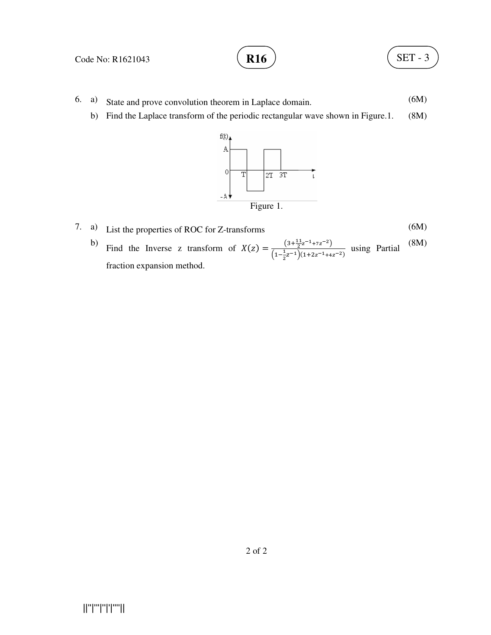$$
\mathbf{R16} \quad \begin{array}{c} \end{array}
$$

- 6. a) State and prove convolution theorem in Laplace domain. (6M)
	- b) Find the Laplace transform of the periodic rectangular wave shown in Figure.1. (8M)



- 7. a) List the properties of ROC for Z-transforms (6M)
	- b) Find the Inverse z transform of  $X(z) = \frac{(3 + \frac{11}{2}z^{-1} + 7z^{-2})}{(1 \frac{1}{2}z^{-1} + 7z^{-2})}$  $\left(1-\frac{1}{2}\right)$  $\frac{1}{2^{2}}$   $\frac{1}{2^{2}}$   $\frac{1}{2^{2}}$   $\frac{1}{2^{2}}$   $\frac{1}{2^{2}}$   $\frac{1}{2^{2}}$   $\frac{1}{2^{2}}$   $\frac{1}{2^{2}}$   $\frac{1}{2^{2}}$   $\frac{1}{2^{2}}$   $\frac{1}{2^{2}}$   $\frac{1}{2^{2}}$   $\frac{1}{2^{2}}$   $\frac{1}{2^{2}}$   $\frac{1}{2^{2}}$   $\frac{1}{2^{2}}$   $\frac{1}{2^{2}}$   $\frac{1}{2^{2}}$   $\frac{1$ fraction expansion method. (8M)